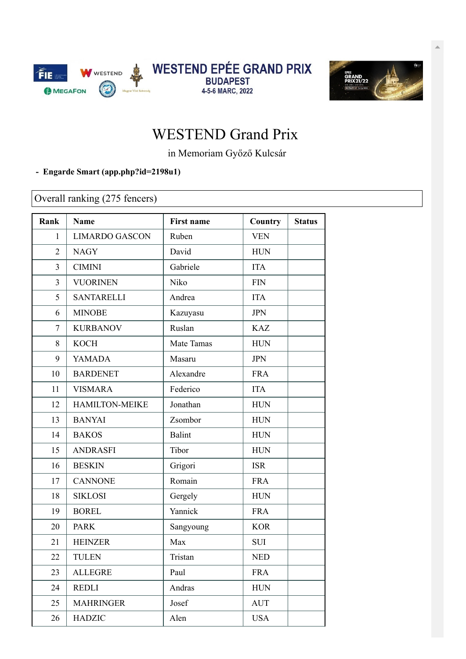



## WESTEND Grand Prix

in Memoriam Győző Kulcsár

## **- Engarde Smart [\(app.php?id=2198u1\)](https://engarde-service.com/app.php?id=2198u1)**

Overall ranking (275 fencers)

| Rank           | <b>Name</b>           | <b>First name</b> | Country      | <b>Status</b> |
|----------------|-----------------------|-------------------|--------------|---------------|
| $\mathbf{1}$   | <b>LIMARDO GASCON</b> | Ruben             | <b>VEN</b>   |               |
| $\overline{2}$ | <b>NAGY</b>           | David             | <b>HUN</b>   |               |
| 3              | <b>CIMINI</b>         | Gabriele          | <b>ITA</b>   |               |
| $\overline{3}$ | <b>VUORINEN</b>       | Niko              | $\text{FIN}$ |               |
| 5              | <b>SANTARELLI</b>     | Andrea            | <b>ITA</b>   |               |
| 6              | <b>MINOBE</b>         | Kazuyasu          | <b>JPN</b>   |               |
| 7              | <b>KURBANOV</b>       | Ruslan            | <b>KAZ</b>   |               |
| 8              | <b>KOCH</b>           | Mate Tamas        | <b>HUN</b>   |               |
| 9              | YAMADA                | Masaru            | <b>JPN</b>   |               |
| 10             | <b>BARDENET</b>       | Alexandre         | <b>FRA</b>   |               |
| 11             | <b>VISMARA</b>        | Federico          | <b>ITA</b>   |               |
| 12             | <b>HAMILTON-MEIKE</b> | Jonathan          | <b>HUN</b>   |               |
| 13             | <b>BANYAI</b>         | Zsombor           | <b>HUN</b>   |               |
| 14             | <b>BAKOS</b>          | <b>Balint</b>     | <b>HUN</b>   |               |
| 15             | <b>ANDRASFI</b>       | Tibor             | <b>HUN</b>   |               |
| 16             | <b>BESKIN</b>         | Grigori           | <b>ISR</b>   |               |
| 17             | <b>CANNONE</b>        | Romain            | <b>FRA</b>   |               |
| 18             | <b>SIKLOSI</b>        | Gergely           | <b>HUN</b>   |               |
| 19             | <b>BOREL</b>          | Yannick           | <b>FRA</b>   |               |
| 20             | <b>PARK</b>           | Sangyoung         | <b>KOR</b>   |               |
| 21             | <b>HEINZER</b>        | Max               | SUI          |               |
| 22             | <b>TULEN</b>          | Tristan           | <b>NED</b>   |               |
| 23             | <b>ALLEGRE</b>        | Paul              | <b>FRA</b>   |               |
| 24             | <b>REDLI</b>          | Andras            | <b>HUN</b>   |               |
| 25             | <b>MAHRINGER</b>      | Josef             | <b>AUT</b>   |               |
| 26             | <b>HADZIC</b>         | Alen              | <b>USA</b>   |               |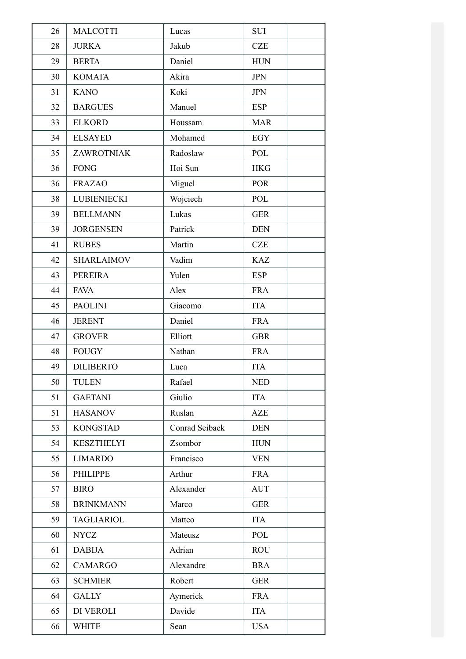| 26 | <b>MALCOTTI</b>    | Lucas          | <b>SUI</b> |
|----|--------------------|----------------|------------|
| 28 | <b>JURKA</b>       | Jakub          | <b>CZE</b> |
| 29 | <b>BERTA</b>       | Daniel         | <b>HUN</b> |
| 30 | <b>KOMATA</b>      | Akira          | <b>JPN</b> |
| 31 | <b>KANO</b>        | Koki           | <b>JPN</b> |
| 32 | <b>BARGUES</b>     | Manuel         | <b>ESP</b> |
| 33 | <b>ELKORD</b>      | Houssam        | <b>MAR</b> |
| 34 | <b>ELSAYED</b>     | Mohamed        | <b>EGY</b> |
| 35 | ZAWROTNIAK         | Radoslaw       | POL        |
| 36 | <b>FONG</b>        | Hoi Sun        | <b>HKG</b> |
| 36 | <b>FRAZAO</b>      | Miguel         | <b>POR</b> |
| 38 | <b>LUBIENIECKI</b> | Wojciech       | POL        |
| 39 | <b>BELLMANN</b>    | Lukas          | <b>GER</b> |
| 39 | <b>JORGENSEN</b>   | Patrick        | <b>DEN</b> |
| 41 | <b>RUBES</b>       | Martin         | <b>CZE</b> |
| 42 | <b>SHARLAIMOV</b>  | Vadim          | <b>KAZ</b> |
| 43 | PEREIRA            | Yulen          | <b>ESP</b> |
| 44 | <b>FAVA</b>        | Alex           | <b>FRA</b> |
| 45 | <b>PAOLINI</b>     | Giacomo        | <b>ITA</b> |
| 46 | <b>JERENT</b>      | Daniel         | <b>FRA</b> |
| 47 | <b>GROVER</b>      | Elliott        | <b>GBR</b> |
| 48 | <b>FOUGY</b>       | Nathan         | <b>FRA</b> |
| 49 | <b>DILIBERTO</b>   | Luca           | <b>ITA</b> |
| 50 | <b>TULEN</b>       | Rafael         | <b>NED</b> |
| 51 | <b>GAETANI</b>     | Giulio         | <b>ITA</b> |
| 51 | <b>HASANOV</b>     | Ruslan         | <b>AZE</b> |
| 53 | <b>KONGSTAD</b>    | Conrad Seibaek | <b>DEN</b> |
| 54 | <b>KESZTHELYI</b>  | Zsombor        | <b>HUN</b> |
| 55 | <b>LIMARDO</b>     | Francisco      | <b>VEN</b> |
| 56 | <b>PHILIPPE</b>    | Arthur         | <b>FRA</b> |
| 57 | <b>BIRO</b>        | Alexander      | <b>AUT</b> |
| 58 | <b>BRINKMANN</b>   | Marco          | <b>GER</b> |
| 59 | <b>TAGLIARIOL</b>  | Matteo         | <b>ITA</b> |
| 60 | <b>NYCZ</b>        | Mateusz        | POL        |
| 61 | <b>DABIJA</b>      | Adrian         | <b>ROU</b> |
| 62 | <b>CAMARGO</b>     | Alexandre      | <b>BRA</b> |
| 63 | <b>SCHMIER</b>     | Robert         | <b>GER</b> |
| 64 | <b>GALLY</b>       | Aymerick       | <b>FRA</b> |
| 65 | DI VEROLI          | Davide         | <b>ITA</b> |
| 66 | <b>WHITE</b>       | Sean           | <b>USA</b> |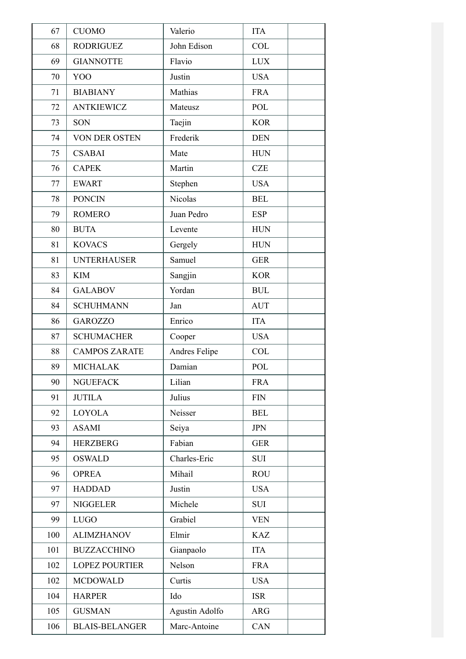| 67  | <b>CUOMO</b>          | Valerio               | <b>ITA</b> |
|-----|-----------------------|-----------------------|------------|
| 68  | <b>RODRIGUEZ</b>      | John Edison           | COL        |
| 69  | <b>GIANNOTTE</b>      | Flavio                | <b>LUX</b> |
| 70  | YOO                   | Justin                | <b>USA</b> |
| 71  | <b>BIABIANY</b>       | Mathias               | <b>FRA</b> |
| 72  | <b>ANTKIEWICZ</b>     | Mateusz               | POL        |
| 73  | SON                   | Taejin                | <b>KOR</b> |
| 74  | VON DER OSTEN         | Frederik              | <b>DEN</b> |
| 75  | <b>CSABAI</b>         | Mate                  | <b>HUN</b> |
| 76  | <b>CAPEK</b>          | Martin                | <b>CZE</b> |
| 77  | <b>EWART</b>          | Stephen               | <b>USA</b> |
| 78  | <b>PONCIN</b>         | Nicolas               | <b>BEL</b> |
| 79  | <b>ROMERO</b>         | Juan Pedro            | <b>ESP</b> |
| 80  | <b>BUTA</b>           | Levente               | <b>HUN</b> |
| 81  | <b>KOVACS</b>         | Gergely               | <b>HUN</b> |
| 81  | <b>UNTERHAUSER</b>    | Samuel                | <b>GER</b> |
| 83  | <b>KIM</b>            | Sangjin               | <b>KOR</b> |
| 84  | <b>GALABOV</b>        | Yordan                | <b>BUL</b> |
| 84  | <b>SCHUHMANN</b>      | Jan                   | <b>AUT</b> |
| 86  | <b>GAROZZO</b>        | Enrico                | <b>ITA</b> |
| 87  | <b>SCHUMACHER</b>     | Cooper                | <b>USA</b> |
| 88  | <b>CAMPOS ZARATE</b>  | Andres Felipe         | <b>COL</b> |
| 89  | <b>MICHALAK</b>       | Damian                | POL        |
| 90  | <b>NGUEFACK</b>       | Lilian                | <b>FRA</b> |
| 91  | <b>JUTILA</b>         | Julius                | <b>FIN</b> |
| 92  | <b>LOYOLA</b>         | Neisser               | <b>BEL</b> |
| 93  | <b>ASAMI</b>          | Seiya                 | <b>JPN</b> |
| 94  | <b>HERZBERG</b>       | Fabian                | <b>GER</b> |
| 95  | <b>OSWALD</b>         | Charles-Eric          | <b>SUI</b> |
| 96  | <b>OPREA</b>          | Mihail                | <b>ROU</b> |
| 97  | <b>HADDAD</b>         | Justin                | <b>USA</b> |
| 97  | <b>NIGGELER</b>       | Michele               | <b>SUI</b> |
| 99  | <b>LUGO</b>           | Grabiel               | <b>VEN</b> |
| 100 | <b>ALIMZHANOV</b>     | Elmir                 | <b>KAZ</b> |
| 101 | <b>BUZZACCHINO</b>    | Gianpaolo             | <b>ITA</b> |
| 102 | <b>LOPEZ POURTIER</b> | Nelson                | <b>FRA</b> |
| 102 | <b>MCDOWALD</b>       | Curtis                | <b>USA</b> |
| 104 | <b>HARPER</b>         | Ido                   | <b>ISR</b> |
| 105 | <b>GUSMAN</b>         | <b>Agustin Adolfo</b> | <b>ARG</b> |
| 106 | <b>BLAIS-BELANGER</b> | Marc-Antoine          | CAN        |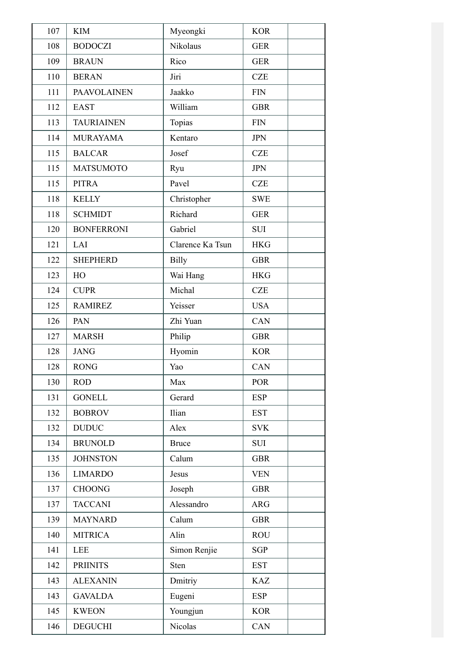| 107 | <b>KIM</b>         | Myeongki         | <b>KOR</b>                  |
|-----|--------------------|------------------|-----------------------------|
| 108 | <b>BODOCZI</b>     | Nikolaus         | <b>GER</b>                  |
| 109 | <b>BRAUN</b>       | Rico             | <b>GER</b>                  |
| 110 | <b>BERAN</b>       | Jiri             | <b>CZE</b>                  |
| 111 | <b>PAAVOLAINEN</b> | Jaakko           | <b>FIN</b>                  |
| 112 | <b>EAST</b>        | William          | <b>GBR</b>                  |
| 113 | <b>TAURIAINEN</b>  | Topias           | $\boldsymbol{\mathrm{FIN}}$ |
| 114 | <b>MURAYAMA</b>    | Kentaro          | <b>JPN</b>                  |
| 115 | <b>BALCAR</b>      | Josef            | <b>CZE</b>                  |
| 115 | <b>MATSUMOTO</b>   | Ryu              | <b>JPN</b>                  |
| 115 | <b>PITRA</b>       | Pavel            | <b>CZE</b>                  |
| 118 | <b>KELLY</b>       | Christopher      | <b>SWE</b>                  |
| 118 | <b>SCHMIDT</b>     | Richard          | <b>GER</b>                  |
| 120 | <b>BONFERRONI</b>  | Gabriel          | <b>SUI</b>                  |
| 121 | LAI                | Clarence Ka Tsun | <b>HKG</b>                  |
| 122 | <b>SHEPHERD</b>    | <b>Billy</b>     | <b>GBR</b>                  |
| 123 | HO                 | Wai Hang         | <b>HKG</b>                  |
| 124 | <b>CUPR</b>        | Michal           | <b>CZE</b>                  |
| 125 | <b>RAMIREZ</b>     | Yeisser          | <b>USA</b>                  |
| 126 | PAN                | Zhi Yuan         | CAN                         |
| 127 | <b>MARSH</b>       | Philip           | <b>GBR</b>                  |
| 128 | <b>JANG</b>        | Hyomin           | <b>KOR</b>                  |
| 128 | <b>RONG</b>        | Yao              | CAN                         |
| 130 | <b>ROD</b>         | Max              | <b>POR</b>                  |
| 131 | <b>GONELL</b>      | Gerard           | <b>ESP</b>                  |
| 132 | <b>BOBROV</b>      | Ilian            | <b>EST</b>                  |
| 132 | <b>DUDUC</b>       | Alex             | <b>SVK</b>                  |
| 134 | <b>BRUNOLD</b>     | <b>Bruce</b>     | <b>SUI</b>                  |
| 135 | <b>JOHNSTON</b>    | Calum            | <b>GBR</b>                  |
| 136 | <b>LIMARDO</b>     | Jesus            | <b>VEN</b>                  |
| 137 | <b>CHOONG</b>      | Joseph           | <b>GBR</b>                  |
| 137 | <b>TACCANI</b>     | Alessandro       | <b>ARG</b>                  |
| 139 | <b>MAYNARD</b>     | Calum            | <b>GBR</b>                  |
| 140 | <b>MITRICA</b>     | Alin             | <b>ROU</b>                  |
| 141 | <b>LEE</b>         | Simon Renjie     | <b>SGP</b>                  |
| 142 | <b>PRIINITS</b>    | Sten             | <b>EST</b>                  |
| 143 | <b>ALEXANIN</b>    | Dmitriy          | <b>KAZ</b>                  |
| 143 | <b>GAVALDA</b>     | Eugeni           | <b>ESP</b>                  |
| 145 | <b>KWEON</b>       | Youngjun         | <b>KOR</b>                  |
| 146 | <b>DEGUCHI</b>     | Nicolas          | CAN                         |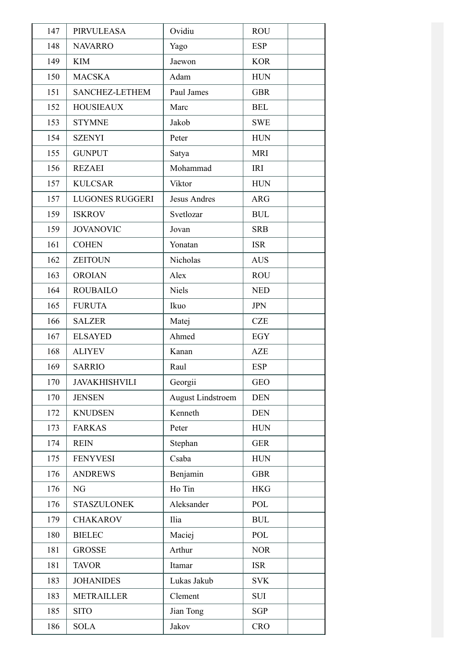| 147 | <b>PIRVULEASA</b>      | Ovidiu                   | <b>ROU</b> |
|-----|------------------------|--------------------------|------------|
| 148 | <b>NAVARRO</b>         | Yago                     | <b>ESP</b> |
| 149 | <b>KIM</b>             | Jaewon                   | <b>KOR</b> |
| 150 | <b>MACSKA</b>          | Adam                     | <b>HUN</b> |
| 151 | SANCHEZ-LETHEM         | Paul James               | <b>GBR</b> |
| 152 | <b>HOUSIEAUX</b>       | Marc                     | <b>BEL</b> |
| 153 | <b>STYMNE</b>          | Jakob                    | <b>SWE</b> |
| 154 | <b>SZENYI</b>          | Peter                    | <b>HUN</b> |
| 155 | <b>GUNPUT</b>          | Satya                    | <b>MRI</b> |
| 156 | <b>REZAEI</b>          | Mohammad                 | IRI        |
| 157 | <b>KULCSAR</b>         | Viktor                   | <b>HUN</b> |
| 157 | <b>LUGONES RUGGERI</b> | <b>Jesus Andres</b>      | <b>ARG</b> |
| 159 | <b>ISKROV</b>          | Svetlozar                | <b>BUL</b> |
| 159 | <b>JOVANOVIC</b>       | Jovan                    | <b>SRB</b> |
| 161 | <b>COHEN</b>           | Yonatan                  | <b>ISR</b> |
| 162 | <b>ZEITOUN</b>         | Nicholas                 | <b>AUS</b> |
| 163 | <b>OROIAN</b>          | Alex                     | <b>ROU</b> |
| 164 | <b>ROUBAILO</b>        | Niels                    | <b>NED</b> |
| 165 | <b>FURUTA</b>          | Ikuo                     | <b>JPN</b> |
| 166 | <b>SALZER</b>          | Matej                    | <b>CZE</b> |
| 167 | <b>ELSAYED</b>         | Ahmed                    | EGY        |
| 168 | <b>ALIYEV</b>          | Kanan                    | <b>AZE</b> |
| 169 | <b>SARRIO</b>          | Raul                     | <b>ESP</b> |
| 170 | <b>JAVAKHISHVILI</b>   | Georgii                  | <b>GEO</b> |
| 170 | <b>JENSEN</b>          | <b>August Lindstroem</b> | <b>DEN</b> |
| 172 | <b>KNUDSEN</b>         | Kenneth                  | <b>DEN</b> |
| 173 | <b>FARKAS</b>          | Peter                    | <b>HUN</b> |
| 174 | <b>REIN</b>            | Stephan                  | <b>GER</b> |
| 175 | <b>FENYVESI</b>        | Csaba                    | <b>HUN</b> |
| 176 | <b>ANDREWS</b>         | Benjamin                 | <b>GBR</b> |
| 176 | NG                     | Ho Tin                   | <b>HKG</b> |
| 176 | <b>STASZULONEK</b>     | Aleksander               | POL        |
| 179 | <b>CHAKAROV</b>        | Ilia                     | <b>BUL</b> |
| 180 | <b>BIELEC</b>          | Maciej                   | POL        |
| 181 | <b>GROSSE</b>          | Arthur                   | <b>NOR</b> |
| 181 | <b>TAVOR</b>           | Itamar                   | <b>ISR</b> |
| 183 | <b>JOHANIDES</b>       | Lukas Jakub              | <b>SVK</b> |
| 183 | <b>METRAILLER</b>      | Clement                  | SUI        |
| 185 | <b>SITO</b>            | Jian Tong                | <b>SGP</b> |
| 186 | <b>SOLA</b>            | Jakov                    | <b>CRO</b> |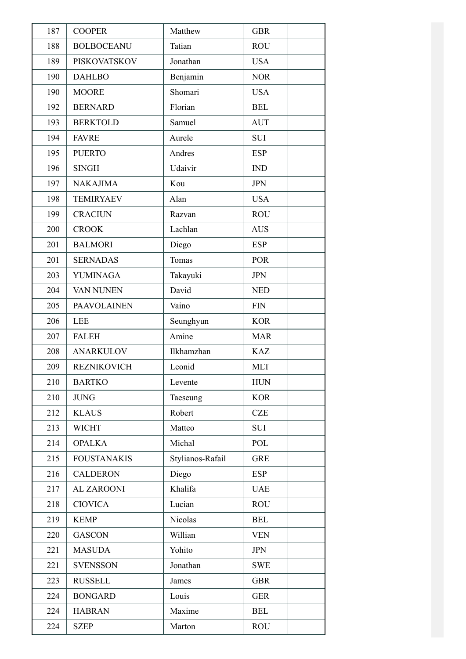| 187 | <b>COOPER</b>       | Matthew          | <b>GBR</b>  |
|-----|---------------------|------------------|-------------|
| 188 | <b>BOLBOCEANU</b>   | Tatian           | <b>ROU</b>  |
| 189 | <b>PISKOVATSKOV</b> | Jonathan         | <b>USA</b>  |
| 190 | <b>DAHLBO</b>       | Benjamin         | <b>NOR</b>  |
| 190 | <b>MOORE</b>        | Shomari          | <b>USA</b>  |
| 192 | <b>BERNARD</b>      | Florian          | <b>BEL</b>  |
| 193 | <b>BERKTOLD</b>     | Samuel           | <b>AUT</b>  |
| 194 | <b>FAVRE</b>        | Aurele           | <b>SUI</b>  |
| 195 | <b>PUERTO</b>       | Andres           | <b>ESP</b>  |
| 196 | <b>SINGH</b>        | Udaivir          | <b>IND</b>  |
| 197 | <b>NAKAJIMA</b>     | Kou              | <b>JPN</b>  |
| 198 | <b>TEMIRYAEV</b>    | Alan             | <b>USA</b>  |
| 199 | <b>CRACIUN</b>      | Razvan           | <b>ROU</b>  |
| 200 | <b>CROOK</b>        | Lachlan          | <b>AUS</b>  |
| 201 | <b>BALMORI</b>      | Diego            | <b>ESP</b>  |
| 201 | <b>SERNADAS</b>     | Tomas            | <b>POR</b>  |
| 203 | <b>YUMINAGA</b>     | Takayuki         | <b>JPN</b>  |
| 204 | VAN NUNEN           | David            | <b>NED</b>  |
| 205 | <b>PAAVOLAINEN</b>  | Vaino            | <b>FIN</b>  |
| 206 | <b>LEE</b>          | Seunghyun        | <b>KOR</b>  |
| 207 | <b>FALEH</b>        | Amine            | <b>MAR</b>  |
| 208 | <b>ANARKULOV</b>    | Ilkhamzhan       | <b>KAZ</b>  |
| 209 | <b>REZNIKOVICH</b>  | Leonid           | <b>MLT</b>  |
| 210 | <b>BARTKO</b>       | Levente          | ${\rm HUN}$ |
| 210 | <b>JUNG</b>         | Taeseung         | <b>KOR</b>  |
| 212 | <b>KLAUS</b>        | Robert           | <b>CZE</b>  |
| 213 | <b>WICHT</b>        | Matteo           | <b>SUI</b>  |
| 214 | <b>OPALKA</b>       | Michal           | POL         |
| 215 | <b>FOUSTANAKIS</b>  | Stylianos-Rafail | <b>GRE</b>  |
| 216 | <b>CALDERON</b>     | Diego            | <b>ESP</b>  |
| 217 | <b>AL ZAROONI</b>   | Khalifa          | <b>UAE</b>  |
| 218 | <b>CIOVICA</b>      | Lucian           | <b>ROU</b>  |
| 219 | <b>KEMP</b>         | Nicolas          | <b>BEL</b>  |
| 220 | <b>GASCON</b>       | Willian          | <b>VEN</b>  |
| 221 | <b>MASUDA</b>       | Yohito           | <b>JPN</b>  |
| 221 | <b>SVENSSON</b>     | Jonathan         | <b>SWE</b>  |
| 223 | <b>RUSSELL</b>      | James            | <b>GBR</b>  |
| 224 | <b>BONGARD</b>      | Louis            | <b>GER</b>  |
| 224 | <b>HABRAN</b>       | Maxime           | <b>BEL</b>  |
| 224 | <b>SZEP</b>         | Marton           | <b>ROU</b>  |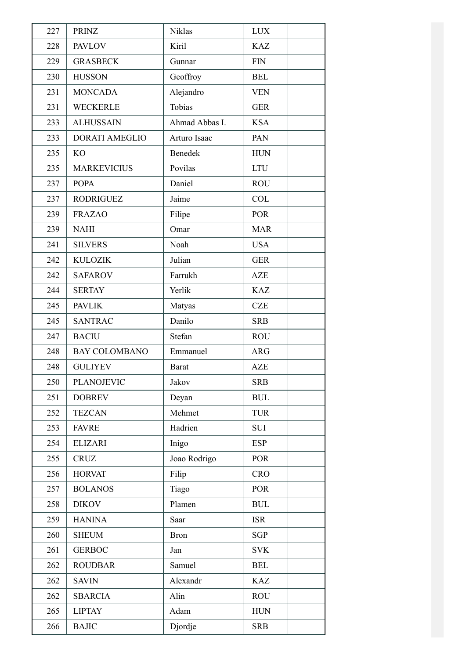| 227 | <b>PRINZ</b>          | <b>Niklas</b>  | <b>LUX</b>                       |
|-----|-----------------------|----------------|----------------------------------|
| 228 | <b>PAVLOV</b>         | Kiril          | <b>KAZ</b>                       |
| 229 | <b>GRASBECK</b>       | Gunnar         | <b>FIN</b>                       |
| 230 | <b>HUSSON</b>         | Geoffroy       | <b>BEL</b>                       |
| 231 | <b>MONCADA</b>        | Alejandro      | <b>VEN</b>                       |
| 231 | <b>WECKERLE</b>       | Tobias         | <b>GER</b>                       |
| 233 | <b>ALHUSSAIN</b>      | Ahmad Abbas I. | <b>KSA</b>                       |
| 233 | <b>DORATI AMEGLIO</b> | Arturo Isaac   | PAN                              |
| 235 | KO <sub></sub>        | Benedek        | <b>HUN</b>                       |
| 235 | <b>MARKEVICIUS</b>    | Povilas        | <b>LTU</b>                       |
| 237 | <b>POPA</b>           | Daniel         | <b>ROU</b>                       |
| 237 | <b>RODRIGUEZ</b>      | Jaime          | <b>COL</b>                       |
| 239 | <b>FRAZAO</b>         | Filipe         | <b>POR</b>                       |
| 239 | <b>NAHI</b>           | Omar           | <b>MAR</b>                       |
| 241 | <b>SILVERS</b>        | Noah           | <b>USA</b>                       |
| 242 | <b>KULOZIK</b>        | Julian         | <b>GER</b>                       |
| 242 | <b>SAFAROV</b>        | Farrukh        | <b>AZE</b>                       |
| 244 | <b>SERTAY</b>         | Yerlik         | <b>KAZ</b>                       |
| 245 | <b>PAVLIK</b>         | Matyas         | <b>CZE</b>                       |
| 245 | <b>SANTRAC</b>        | Danilo         | <b>SRB</b>                       |
| 247 | <b>BACIU</b>          | Stefan         | <b>ROU</b>                       |
| 248 | <b>BAY COLOMBANO</b>  | Emmanuel       | <b>ARG</b>                       |
| 248 | <b>GULIYEV</b>        | <b>Barat</b>   | <b>AZE</b>                       |
| 250 | <b>PLANOJEVIC</b>     | Jakov          | <b>SRB</b>                       |
| 251 | <b>DOBREV</b>         | Deyan          | <b>BUL</b>                       |
| 252 | <b>TEZCAN</b>         | Mehmet         | <b>TUR</b>                       |
| 253 | <b>FAVRE</b>          | Hadrien        | <b>SUI</b>                       |
| 254 | <b>ELIZARI</b>        | Inigo          | <b>ESP</b>                       |
| 255 | <b>CRUZ</b>           | Joao Rodrigo   | <b>POR</b>                       |
| 256 | <b>HORVAT</b>         | Filip          | <b>CRO</b>                       |
| 257 | <b>BOLANOS</b>        | Tiago          | <b>POR</b>                       |
| 258 | <b>DIKOV</b>          | Plamen         | $\mathbf{B}\mathbf{U}\mathbf{L}$ |
| 259 | <b>HANINA</b>         | Saar           | <b>ISR</b>                       |
| 260 | <b>SHEUM</b>          | <b>Bron</b>    | <b>SGP</b>                       |
| 261 | <b>GERBOC</b>         | Jan            | <b>SVK</b>                       |
| 262 | <b>ROUDBAR</b>        | Samuel         | <b>BEL</b>                       |
| 262 | <b>SAVIN</b>          | Alexandr       | <b>KAZ</b>                       |
| 262 | <b>SBARCIA</b>        | Alin           | <b>ROU</b>                       |
| 265 | <b>LIPTAY</b>         | Adam           | ${\rm HUN}$                      |
| 266 | <b>BAJIC</b>          | Djordje        | <b>SRB</b>                       |